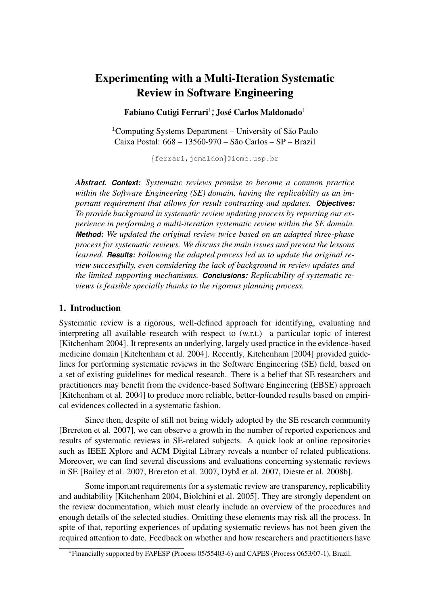# Experimenting with a Multi-Iteration Systematic Review in Software Engineering

### Fabiano Cutigi Ferrari $^{1*}$ , José Carlos Maldonado $^{1}$

<sup>1</sup>Computing Systems Department – University of São Paulo Caixa Postal: 668 – 13560-970 – Sao Carlos – SP – Brazil ˜

{ferrari,jcmaldon}@icmc.usp.br

*Abstract. Context: Systematic reviews promise to become a common practice within the Software Engineering (SE) domain, having the replicability as an important requirement that allows for result contrasting and updates. Objectives: To provide background in systematic review updating process by reporting our experience in performing a multi-iteration systematic review within the SE domain. Method: We updated the original review twice based on an adapted three-phase process for systematic reviews. We discuss the main issues and present the lessons learned. Results: Following the adapted process led us to update the original review successfully, even considering the lack of background in review updates and the limited supporting mechanisms. Conclusions: Replicability of systematic reviews is feasible specially thanks to the rigorous planning process.*

#### 1. Introduction

Systematic review is a rigorous, well-defined approach for identifying, evaluating and interpreting all available research with respect to (w.r.t.) a particular topic of interest [Kitchenham 2004]. It represents an underlying, largely used practice in the evidence-based medicine domain [Kitchenham et al. 2004]. Recently, Kitchenham [2004] provided guidelines for performing systematic reviews in the Software Engineering (SE) field, based on a set of existing guidelines for medical research. There is a belief that SE researchers and practitioners may benefit from the evidence-based Software Engineering (EBSE) approach [Kitchenham et al. 2004] to produce more reliable, better-founded results based on empirical evidences collected in a systematic fashion.

Since then, despite of still not being widely adopted by the SE research community [Brereton et al. 2007], we can observe a growth in the number of reported experiences and results of systematic reviews in SE-related subjects. A quick look at online repositories such as IEEE Xplore and ACM Digital Library reveals a number of related publications. Moreover, we can find several discussions and evaluations concerning systematic reviews in SE [Bailey et al. 2007, Brereton et al. 2007, Dybå et al. 2007, Dieste et al. 2008b].

Some important requirements for a systematic review are transparency, replicability and auditability [Kitchenham 2004, Biolchini et al. 2005]. They are strongly dependent on the review documentation, which must clearly include an overview of the procedures and enough details of the selected studies. Omitting these elements may risk all the process. In spite of that, reporting experiences of updating systematic reviews has not been given the required attention to date. Feedback on whether and how researchers and practitioners have

<sup>∗</sup>Financially supported by FAPESP (Process 05/55403-6) and CAPES (Process 0653/07-1), Brazil.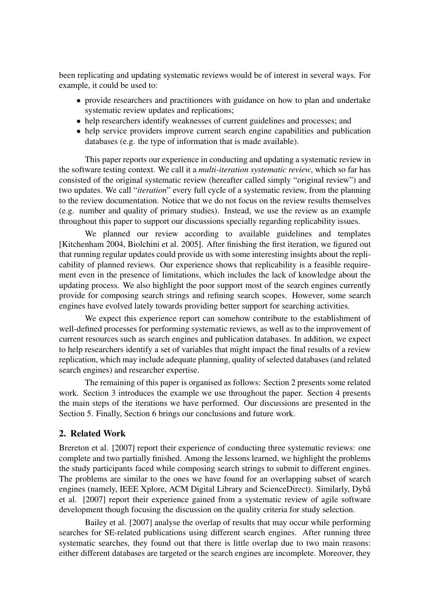been replicating and updating systematic reviews would be of interest in several ways. For example, it could be used to:

- provide researchers and practitioners with guidance on how to plan and undertake systematic review updates and replications;
- help researchers identify weaknesses of current guidelines and processes; and
- help service providers improve current search engine capabilities and publication databases (e.g. the type of information that is made available).

This paper reports our experience in conducting and updating a systematic review in the software testing context. We call it a *multi-iteration systematic review*, which so far has consisted of the original systematic review (hereafter called simply "original review") and two updates. We call "*iteration*" every full cycle of a systematic review, from the planning to the review documentation. Notice that we do not focus on the review results themselves (e.g. number and quality of primary studies). Instead, we use the review as an example throughout this paper to support our discussions specially regarding replicability issues.

We planned our review according to available guidelines and templates [Kitchenham 2004, Biolchini et al. 2005]. After finishing the first iteration, we figured out that running regular updates could provide us with some interesting insights about the replicability of planned reviews. Our experience shows that replicability is a feasible requirement even in the presence of limitations, which includes the lack of knowledge about the updating process. We also highlight the poor support most of the search engines currently provide for composing search strings and refining search scopes. However, some search engines have evolved lately towards providing better support for searching activities.

We expect this experience report can somehow contribute to the establishment of well-defined processes for performing systematic reviews, as well as to the improvement of current resources such as search engines and publication databases. In addition, we expect to help researchers identify a set of variables that might impact the final results of a review replication, which may include adequate planning, quality of selected databases (and related search engines) and researcher expertise.

The remaining of this paper is organised as follows: Section 2 presents some related work. Section 3 introduces the example we use throughout the paper. Section 4 presents the main steps of the iterations we have performed. Our discussions are presented in the Section 5. Finally, Section 6 brings our conclusions and future work.

### 2. Related Work

Brereton et al. [2007] report their experience of conducting three systematic reviews: one complete and two partially finished. Among the lessons learned, we highlight the problems the study participants faced while composing search strings to submit to different engines. The problems are similar to the ones we have found for an overlapping subset of search engines (namely, IEEE Xplore, ACM Digital Library and ScienceDirect). Similarly, Dybå et al. [2007] report their experience gained from a systematic review of agile software development though focusing the discussion on the quality criteria for study selection.

Bailey et al. [2007] analyse the overlap of results that may occur while performing searches for SE-related publications using different search engines. After running three systematic searches, they found out that there is little overlap due to two main reasons: either different databases are targeted or the search engines are incomplete. Moreover, they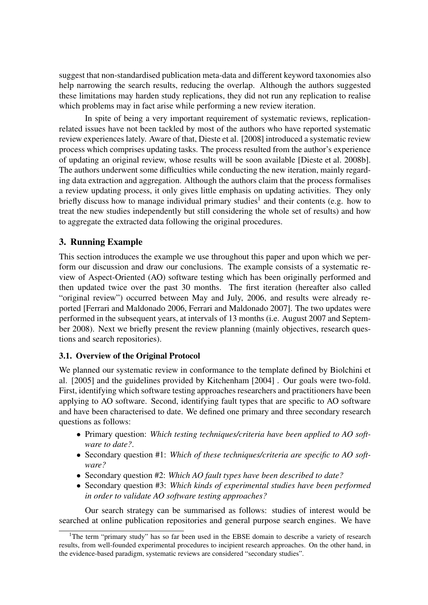suggest that non-standardised publication meta-data and different keyword taxonomies also help narrowing the search results, reducing the overlap. Although the authors suggested these limitations may harden study replications, they did not run any replication to realise which problems may in fact arise while performing a new review iteration.

In spite of being a very important requirement of systematic reviews, replicationrelated issues have not been tackled by most of the authors who have reported systematic review experiences lately. Aware of that, Dieste et al. [2008] introduced a systematic review process which comprises updating tasks. The process resulted from the author's experience of updating an original review, whose results will be soon available [Dieste et al. 2008b]. The authors underwent some difficulties while conducting the new iteration, mainly regarding data extraction and aggregation. Although the authors claim that the process formalises a review updating process, it only gives little emphasis on updating activities. They only briefly discuss how to manage individual primary studies<sup>1</sup> and their contents (e.g. how to treat the new studies independently but still considering the whole set of results) and how to aggregate the extracted data following the original procedures.

# 3. Running Example

This section introduces the example we use throughout this paper and upon which we perform our discussion and draw our conclusions. The example consists of a systematic review of Aspect-Oriented (AO) software testing which has been originally performed and then updated twice over the past 30 months. The first iteration (hereafter also called "original review") occurred between May and July, 2006, and results were already reported [Ferrari and Maldonado 2006, Ferrari and Maldonado 2007]. The two updates were performed in the subsequent years, at intervals of 13 months (i.e. August 2007 and September 2008). Next we briefly present the review planning (mainly objectives, research questions and search repositories).

#### 3.1. Overview of the Original Protocol

We planned our systematic review in conformance to the template defined by Biolchini et al. [2005] and the guidelines provided by Kitchenham [2004] . Our goals were two-fold. First, identifying which software testing approaches researchers and practitioners have been applying to AO software. Second, identifying fault types that are specific to AO software and have been characterised to date. We defined one primary and three secondary research questions as follows:

- Primary question: *Which testing techniques/criteria have been applied to AO software to date?*.
- Secondary question #1: *Which of these techniques/criteria are specific to AO software?*
- Secondary question #2: *Which AO fault types have been described to date?*
- Secondary question #3: *Which kinds of experimental studies have been performed in order to validate AO software testing approaches?*

Our search strategy can be summarised as follows: studies of interest would be searched at online publication repositories and general purpose search engines. We have

<sup>&</sup>lt;sup>1</sup>The term "primary study" has so far been used in the EBSE domain to describe a variety of research results, from well-founded experimental procedures to incipient research approaches. On the other hand, in the evidence-based paradigm, systematic reviews are considered "secondary studies".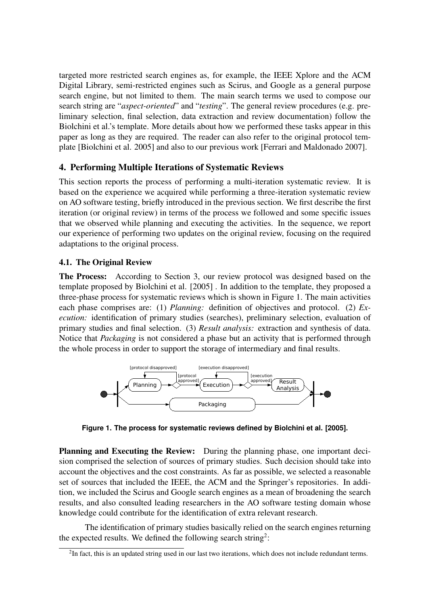targeted more restricted search engines as, for example, the IEEE Xplore and the ACM Digital Library, semi-restricted engines such as Scirus, and Google as a general purpose search engine, but not limited to them. The main search terms we used to compose our search string are "*aspect-oriented*" and "*testing*". The general review procedures (e.g. preliminary selection, final selection, data extraction and review documentation) follow the Biolchini et al.'s template. More details about how we performed these tasks appear in this paper as long as they are required. The reader can also refer to the original protocol template [Biolchini et al. 2005] and also to our previous work [Ferrari and Maldonado 2007].

### 4. Performing Multiple Iterations of Systematic Reviews

This section reports the process of performing a multi-iteration systematic review. It is based on the experience we acquired while performing a three-iteration systematic review on AO software testing, briefly introduced in the previous section. We first describe the first iteration (or original review) in terms of the process we followed and some specific issues that we observed while planning and executing the activities. In the sequence, we report our experience of performing two updates on the original review, focusing on the required adaptations to the original process.

# 4.1. The Original Review

The Process: According to Section 3, our review protocol was designed based on the template proposed by Biolchini et al. [2005] . In addition to the template, they proposed a three-phase process for systematic reviews which is shown in Figure 1. The main activities each phase comprises are: (1) *Planning:* definition of objectives and protocol. (2) *Execution:* identification of primary studies (searches), preliminary selection, evaluation of primary studies and final selection. (3) *Result analysis:* extraction and synthesis of data. Notice that *Packaging* is not considered a phase but an activity that is performed through the whole process in order to support the storage of intermediary and final results.



**Figure 1. The process for systematic reviews defined by Biolchini et al. [2005].**

Planning and Executing the Review: During the planning phase, one important decision comprised the selection of sources of primary studies. Such decision should take into account the objectives and the cost constraints. As far as possible, we selected a reasonable set of sources that included the IEEE, the ACM and the Springer's repositories. In addition, we included the Scirus and Google search engines as a mean of broadening the search results, and also consulted leading researchers in the AO software testing domain whose knowledge could contribute for the identification of extra relevant research.

The identification of primary studies basically relied on the search engines returning the expected results. We defined the following search string<sup>2</sup>:

 $2$ In fact, this is an updated string used in our last two iterations, which does not include redundant terms.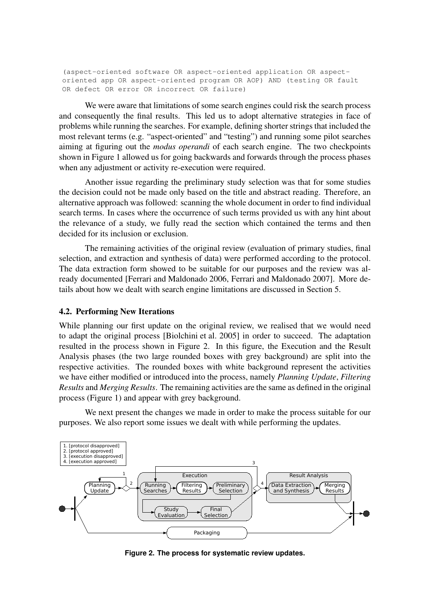(aspect-oriented software OR aspect-oriented application OR aspectoriented app OR aspect-oriented program OR AOP) AND (testing OR fault OR defect OR error OR incorrect OR failure)

We were aware that limitations of some search engines could risk the search process and consequently the final results. This led us to adopt alternative strategies in face of problems while running the searches. For example, defining shorter strings that included the most relevant terms (e.g. "aspect-oriented" and "testing") and running some pilot searches aiming at figuring out the *modus operandi* of each search engine. The two checkpoints shown in Figure 1 allowed us for going backwards and forwards through the process phases when any adjustment or activity re-execution were required.

Another issue regarding the preliminary study selection was that for some studies the decision could not be made only based on the title and abstract reading. Therefore, an alternative approach was followed: scanning the whole document in order to find individual search terms. In cases where the occurrence of such terms provided us with any hint about the relevance of a study, we fully read the section which contained the terms and then decided for its inclusion or exclusion.

The remaining activities of the original review (evaluation of primary studies, final selection, and extraction and synthesis of data) were performed according to the protocol. The data extraction form showed to be suitable for our purposes and the review was already documented [Ferrari and Maldonado 2006, Ferrari and Maldonado 2007]. More details about how we dealt with search engine limitations are discussed in Section 5.

#### 4.2. Performing New Iterations

While planning our first update on the original review, we realised that we would need to adapt the original process [Biolchini et al. 2005] in order to succeed. The adaptation resulted in the process shown in Figure 2. In this figure, the Execution and the Result Analysis phases (the two large rounded boxes with grey background) are split into the respective activities. The rounded boxes with white background represent the activities we have either modified or introduced into the process, namely *Planning Update*, *Filtering Results* and *Merging Results*. The remaining activities are the same as defined in the original process (Figure 1) and appear with grey background.

We next present the changes we made in order to make the process suitable for our purposes. We also report some issues we dealt with while performing the updates.



**Figure 2. The process for systematic review updates.**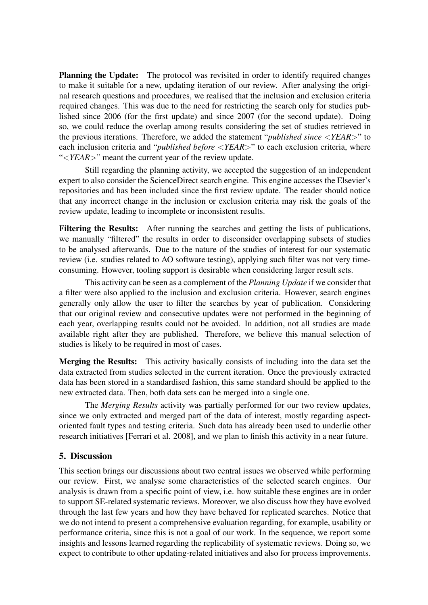Planning the Update: The protocol was revisited in order to identify required changes to make it suitable for a new, updating iteration of our review. After analysing the original research questions and procedures, we realised that the inclusion and exclusion criteria required changes. This was due to the need for restricting the search only for studies published since 2006 (for the first update) and since 2007 (for the second update). Doing so, we could reduce the overlap among results considering the set of studies retrieved in the previous iterations. Therefore, we added the statement "*published since* <*YEAR*>" to each inclusion criteria and "*published before* <*YEAR*>" to each exclusion criteria, where "<*YEAR*>" meant the current year of the review update.

Still regarding the planning activity, we accepted the suggestion of an independent expert to also consider the ScienceDirect search engine. This engine accesses the Elsevier's repositories and has been included since the first review update. The reader should notice that any incorrect change in the inclusion or exclusion criteria may risk the goals of the review update, leading to incomplete or inconsistent results.

Filtering the Results: After running the searches and getting the lists of publications, we manually "filtered" the results in order to disconsider overlapping subsets of studies to be analysed afterwards. Due to the nature of the studies of interest for our systematic review (i.e. studies related to AO software testing), applying such filter was not very timeconsuming. However, tooling support is desirable when considering larger result sets.

This activity can be seen as a complement of the *Planning Update* if we consider that a filter were also applied to the inclusion and exclusion criteria. However, search engines generally only allow the user to filter the searches by year of publication. Considering that our original review and consecutive updates were not performed in the beginning of each year, overlapping results could not be avoided. In addition, not all studies are made available right after they are published. Therefore, we believe this manual selection of studies is likely to be required in most of cases.

Merging the Results: This activity basically consists of including into the data set the data extracted from studies selected in the current iteration. Once the previously extracted data has been stored in a standardised fashion, this same standard should be applied to the new extracted data. Then, both data sets can be merged into a single one.

The *Merging Results* activity was partially performed for our two review updates, since we only extracted and merged part of the data of interest, mostly regarding aspectoriented fault types and testing criteria. Such data has already been used to underlie other research initiatives [Ferrari et al. 2008], and we plan to finish this activity in a near future.

### 5. Discussion

This section brings our discussions about two central issues we observed while performing our review. First, we analyse some characteristics of the selected search engines. Our analysis is drawn from a specific point of view, i.e. how suitable these engines are in order to support SE-related systematic reviews. Moreover, we also discuss how they have evolved through the last few years and how they have behaved for replicated searches. Notice that we do not intend to present a comprehensive evaluation regarding, for example, usability or performance criteria, since this is not a goal of our work. In the sequence, we report some insights and lessons learned regarding the replicability of systematic reviews. Doing so, we expect to contribute to other updating-related initiatives and also for process improvements.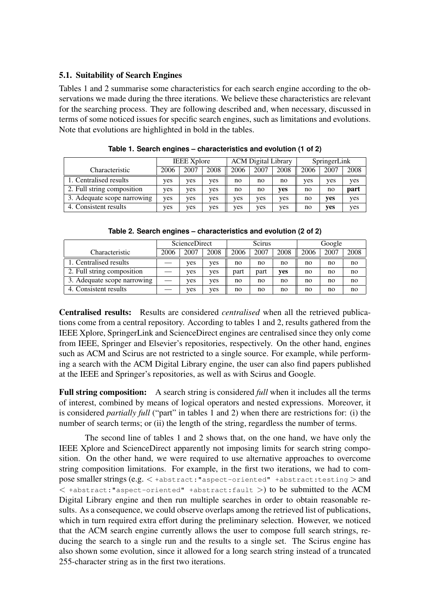### 5.1. Suitability of Search Engines

Tables 1 and 2 summarise some characteristics for each search engine according to the observations we made during the three iterations. We believe these characteristics are relevant for the searching process. They are following described and, when necessary, discussed in terms of some noticed issues for specific search engines, such as limitations and evolutions. Note that evolutions are highlighted in bold in the tables.

|                             | <b>IEEE</b> Xplore |      |      | <b>ACM</b> Digital Library |      |      | SpringerLink |      |      |
|-----------------------------|--------------------|------|------|----------------------------|------|------|--------------|------|------|
| Characteristic              | 2006               | 2007 | 2008 | 2006                       | 2007 | 2008 | 2006         | 2007 | 2008 |
| 1. Centralised results      | ves                | ves  | yes  | no                         | no   | no   | ves          | yes  | yes  |
| 2. Full string composition  | yes                | yes  | yes  | no                         | no   | yes  | no           | no   | part |
| 3. Adequate scope narrowing | ves                | ves  | yes  | yes                        | ves  | yes  | no           | yes  | yes  |
| 4. Consistent results       | yes                | ves  | yes  | yes                        | ves  | ves  | no           | yes  | yes  |

**Table 1. Search engines – characteristics and evolution (1 of 2)**

|                             | <b>ScienceDirect</b> |      |      | <b>Scirus</b> |      |      | Google |      |      |
|-----------------------------|----------------------|------|------|---------------|------|------|--------|------|------|
| Characteristic              | 2006                 | 2007 | 2008 | 2006          | 2007 | 2008 | 2006   | 2007 | 2008 |
| 1. Centralised results      |                      | yes  | ves  | no            | no   | no   | no     | no   | no   |
| 2. Full string composition  |                      | yes  | ves  | part          | part | ves  | no     | no   | no   |
| 3. Adequate scope narrowing |                      | yes  | ves  | no            | no   | no   | no     | no   | no   |
| 4. Consistent results       |                      | yes  | ves  | no            | no   | no   | no     | no   | no   |

**Table 2. Search engines – characteristics and evolution (2 of 2)**

Centralised results: Results are considered *centralised* when all the retrieved publications come from a central repository. According to tables 1 and 2, results gathered from the IEEE Xplore, SpringerLink and ScienceDirect engines are centralised since they only come from IEEE, Springer and Elsevier's repositories, respectively. On the other hand, engines such as ACM and Scirus are not restricted to a single source. For example, while performing a search with the ACM Digital Library engine, the user can also find papers published at the IEEE and Springer's repositories, as well as with Scirus and Google.

Full string composition: A search string is considered *full* when it includes all the terms of interest, combined by means of logical operators and nested expressions. Moreover, it is considered *partially full* ("part" in tables 1 and 2) when there are restrictions for: (i) the number of search terms; or (ii) the length of the string, regardless the number of terms.

The second line of tables 1 and 2 shows that, on the one hand, we have only the IEEE Xplore and ScienceDirect apparently not imposing limits for search string composition. On the other hand, we were required to use alternative approaches to overcome string composition limitations. For example, in the first two iterations, we had to compose smaller strings (e.g. < +abstract:"aspect-oriented" +abstract:testing > and  $\langle$  +abstract:"aspect-oriented" +abstract:fault >) to be submitted to the ACM Digital Library engine and then run multiple searches in order to obtain reasonable results. As a consequence, we could observe overlaps among the retrieved list of publications, which in turn required extra effort during the preliminary selection. However, we noticed that the ACM search engine currently allows the user to compose full search strings, reducing the search to a single run and the results to a single set. The Scirus engine has also shown some evolution, since it allowed for a long search string instead of a truncated 255-character string as in the first two iterations.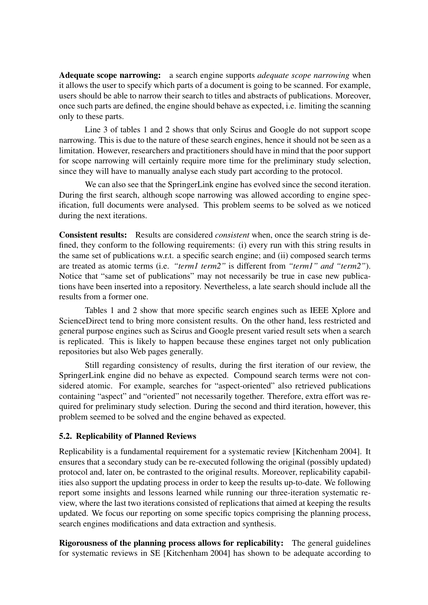Adequate scope narrowing: a search engine supports *adequate scope narrowing* when it allows the user to specify which parts of a document is going to be scanned. For example, users should be able to narrow their search to titles and abstracts of publications. Moreover, once such parts are defined, the engine should behave as expected, i.e. limiting the scanning only to these parts.

Line 3 of tables 1 and 2 shows that only Scirus and Google do not support scope narrowing. This is due to the nature of these search engines, hence it should not be seen as a limitation. However, researchers and practitioners should have in mind that the poor support for scope narrowing will certainly require more time for the preliminary study selection, since they will have to manually analyse each study part according to the protocol.

We can also see that the SpringerLink engine has evolved since the second iteration. During the first search, although scope narrowing was allowed according to engine specification, full documents were analysed. This problem seems to be solved as we noticed during the next iterations.

Consistent results: Results are considered *consistent* when, once the search string is defined, they conform to the following requirements: (i) every run with this string results in the same set of publications w.r.t. a specific search engine; and (ii) composed search terms are treated as atomic terms (i.e. *"term1 term2"* is different from *"term1" and "term2"*). Notice that "same set of publications" may not necessarily be true in case new publications have been inserted into a repository. Nevertheless, a late search should include all the results from a former one.

Tables 1 and 2 show that more specific search engines such as IEEE Xplore and ScienceDirect tend to bring more consistent results. On the other hand, less restricted and general purpose engines such as Scirus and Google present varied result sets when a search is replicated. This is likely to happen because these engines target not only publication repositories but also Web pages generally.

Still regarding consistency of results, during the first iteration of our review, the SpringerLink engine did no behave as expected. Compound search terms were not considered atomic. For example, searches for "aspect-oriented" also retrieved publications containing "aspect" and "oriented" not necessarily together. Therefore, extra effort was required for preliminary study selection. During the second and third iteration, however, this problem seemed to be solved and the engine behaved as expected.

#### 5.2. Replicability of Planned Reviews

Replicability is a fundamental requirement for a systematic review [Kitchenham 2004]. It ensures that a secondary study can be re-executed following the original (possibly updated) protocol and, later on, be contrasted to the original results. Moreover, replicability capabilities also support the updating process in order to keep the results up-to-date. We following report some insights and lessons learned while running our three-iteration systematic review, where the last two iterations consisted of replications that aimed at keeping the results updated. We focus our reporting on some specific topics comprising the planning process, search engines modifications and data extraction and synthesis.

Rigorousness of the planning process allows for replicability: The general guidelines for systematic reviews in SE [Kitchenham 2004] has shown to be adequate according to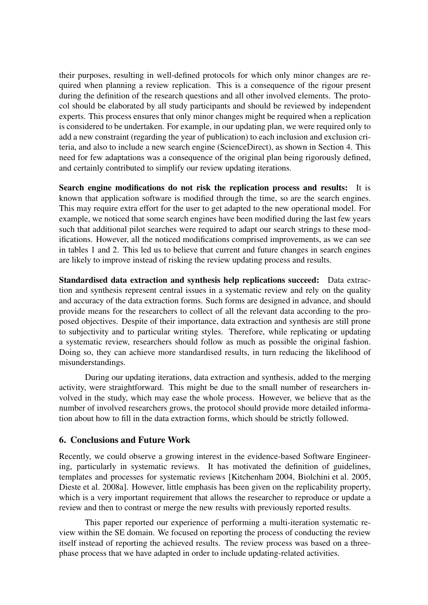their purposes, resulting in well-defined protocols for which only minor changes are required when planning a review replication. This is a consequence of the rigour present during the definition of the research questions and all other involved elements. The protocol should be elaborated by all study participants and should be reviewed by independent experts. This process ensures that only minor changes might be required when a replication is considered to be undertaken. For example, in our updating plan, we were required only to add a new constraint (regarding the year of publication) to each inclusion and exclusion criteria, and also to include a new search engine (ScienceDirect), as shown in Section 4. This need for few adaptations was a consequence of the original plan being rigorously defined, and certainly contributed to simplify our review updating iterations.

Search engine modifications do not risk the replication process and results: It is known that application software is modified through the time, so are the search engines. This may require extra effort for the user to get adapted to the new operational model. For example, we noticed that some search engines have been modified during the last few years such that additional pilot searches were required to adapt our search strings to these modifications. However, all the noticed modifications comprised improvements, as we can see in tables 1 and 2. This led us to believe that current and future changes in search engines are likely to improve instead of risking the review updating process and results.

Standardised data extraction and synthesis help replications succeed: Data extraction and synthesis represent central issues in a systematic review and rely on the quality and accuracy of the data extraction forms. Such forms are designed in advance, and should provide means for the researchers to collect of all the relevant data according to the proposed objectives. Despite of their importance, data extraction and synthesis are still prone to subjectivity and to particular writing styles. Therefore, while replicating or updating a systematic review, researchers should follow as much as possible the original fashion. Doing so, they can achieve more standardised results, in turn reducing the likelihood of misunderstandings.

During our updating iterations, data extraction and synthesis, added to the merging activity, were straightforward. This might be due to the small number of researchers involved in the study, which may ease the whole process. However, we believe that as the number of involved researchers grows, the protocol should provide more detailed information about how to fill in the data extraction forms, which should be strictly followed.

### 6. Conclusions and Future Work

Recently, we could observe a growing interest in the evidence-based Software Engineering, particularly in systematic reviews. It has motivated the definition of guidelines, templates and processes for systematic reviews [Kitchenham 2004, Biolchini et al. 2005, Dieste et al. 2008a]. However, little emphasis has been given on the replicability property, which is a very important requirement that allows the researcher to reproduce or update a review and then to contrast or merge the new results with previously reported results.

This paper reported our experience of performing a multi-iteration systematic review within the SE domain. We focused on reporting the process of conducting the review itself instead of reporting the achieved results. The review process was based on a threephase process that we have adapted in order to include updating-related activities.